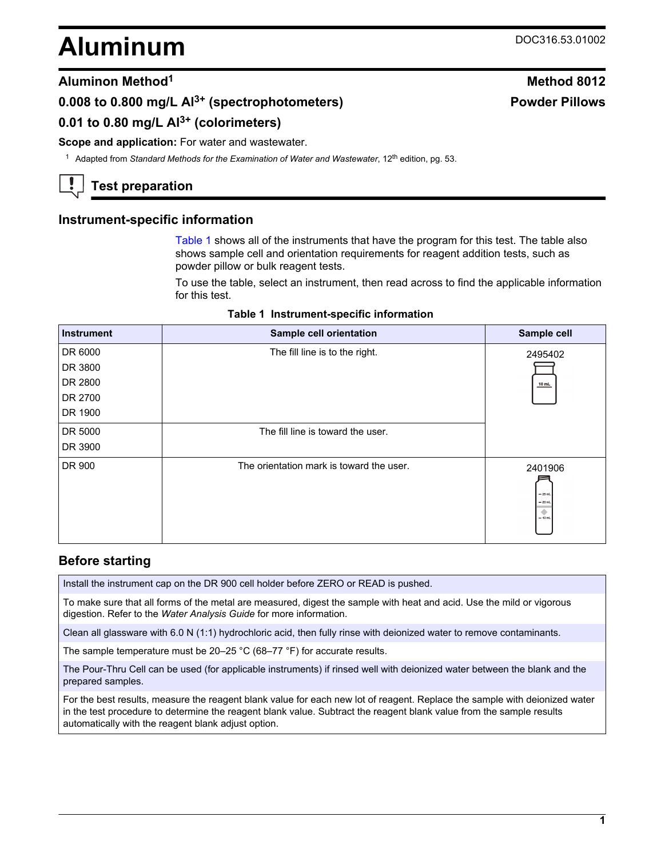# <span id="page-0-0"></span>**Aluminum** DOC316.53.01002

**Powder Pillows**

# **Aluminon Method<sup>1</sup> Method 8012**

# **0.008 to 0.800 mg/L Al3+ (spectrophotometers)**

# **0.01 to 0.80 mg/L Al3+ (colorimeters)**

#### **Scope and application:** For water and wastewater.

<sup>1</sup> Adapted from *Standard Methods for the Examination of Water and Wastewater*, 12<sup>th</sup> edition, pg. 53.

# **Test preparation**

# **Instrument-specific information**

Table 1 shows all of the instruments that have the program for this test. The table also shows sample cell and orientation requirements for reagent addition tests, such as powder pillow or bulk reagent tests.

To use the table, select an instrument, then read across to find the applicable information for this test.

| <b>Instrument</b> | Sample cell orientation                  | Sample cell                                        |
|-------------------|------------------------------------------|----------------------------------------------------|
| DR 6000           | The fill line is to the right.           | 2495402                                            |
| DR 3800           |                                          |                                                    |
| DR 2800           |                                          | $10$ mL                                            |
| DR 2700           |                                          |                                                    |
| DR 1900           |                                          |                                                    |
| DR 5000           | The fill line is toward the user.        |                                                    |
| DR 3900           |                                          |                                                    |
| DR 900            | The orientation mark is toward the user. | 2401906<br>$-25$ mL<br>$= 20$ mL<br>۰<br>$= 10$ mL |

# **Before starting**

Install the instrument cap on the DR 900 cell holder before ZERO or READ is pushed.

To make sure that all forms of the metal are measured, digest the sample with heat and acid. Use the mild or vigorous digestion. Refer to the *Water Analysis Guide* for more information.

Clean all glassware with 6.0 N (1:1) hydrochloric acid, then fully rinse with deionized water to remove contaminants.

The sample temperature must be 20–25 °C (68–77 °F) for accurate results.

The Pour-Thru Cell can be used (for applicable instruments) if rinsed well with deionized water between the blank and the prepared samples.

For the best results, measure the reagent blank value for each new lot of reagent. Replace the sample with deionized water in the test procedure to determine the reagent blank value. Subtract the reagent blank value from the sample results automatically with the reagent blank adjust option.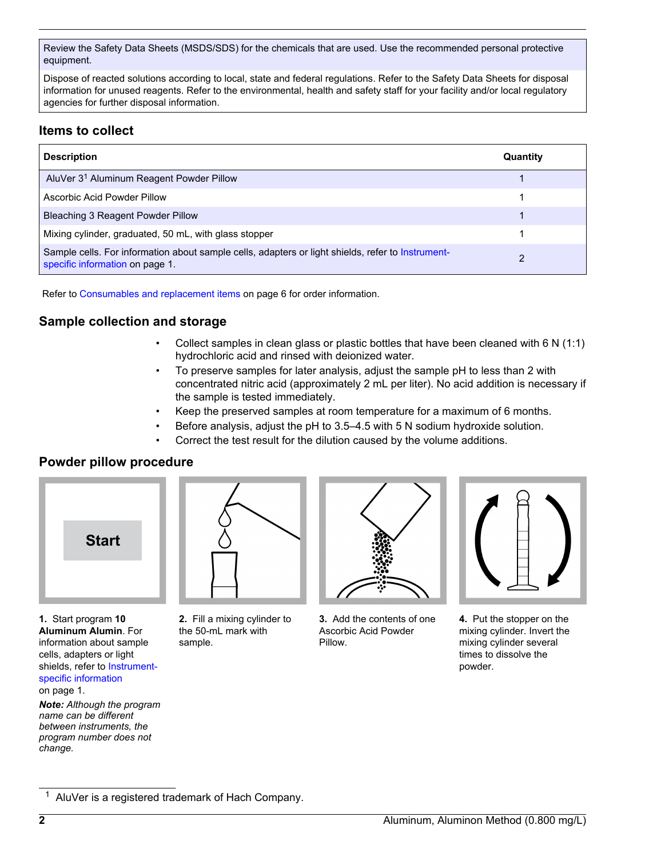Review the Safety Data Sheets (MSDS/SDS) for the chemicals that are used. Use the recommended personal protective equipment.

Dispose of reacted solutions according to local, state and federal regulations. Refer to the Safety Data Sheets for disposal information for unused reagents. Refer to the environmental, health and safety staff for your facility and/or local regulatory agencies for further disposal information.

# **Items to collect**

| <b>Description</b>                                                                                                                   | Quantity |
|--------------------------------------------------------------------------------------------------------------------------------------|----------|
| AluVer 3 <sup>1</sup> Aluminum Reagent Powder Pillow                                                                                 |          |
| Ascorbic Acid Powder Pillow                                                                                                          |          |
| Bleaching 3 Reagent Powder Pillow                                                                                                    |          |
| Mixing cylinder, graduated, 50 mL, with glass stopper                                                                                |          |
| Sample cells. For information about sample cells, adapters or light shields, refer to Instrument-<br>specific information on page 1. | 2        |

Refer to [Consumables and replacement items](#page-5-0) on page 6 for order information.

# **Sample collection and storage**

- Collect samples in clean glass or plastic bottles that have been cleaned with 6 N (1:1) hydrochloric acid and rinsed with deionized water.
- To preserve samples for later analysis, adjust the sample pH to less than 2 with concentrated nitric acid (approximately 2 mL per liter). No acid addition is necessary if the sample is tested immediately.
- Keep the preserved samples at room temperature for a maximum of 6 months.
- Before analysis, adjust the pH to 3.5–4.5 with 5 N sodium hydroxide solution.
- Correct the test result for the dilution caused by the volume additions.

## **Powder pillow procedure**



**1.** Start program **10 Aluminum Alumin**. For information about sample cells, adapters or light shields, refer to [Instrument](#page-0-0)[specific information](#page-0-0) on page 1.

*Note: Although the program name can be different between instruments, the program number does not change.*



**2.** Fill a mixing cylinder to the 50-mL mark with sample.



**3.** Add the contents of one Ascorbic Acid Powder Pillow.



**4.** Put the stopper on the mixing cylinder. Invert the mixing cylinder several times to dissolve the powder.

<sup>&</sup>lt;sup>1</sup> AluVer is a registered trademark of Hach Company.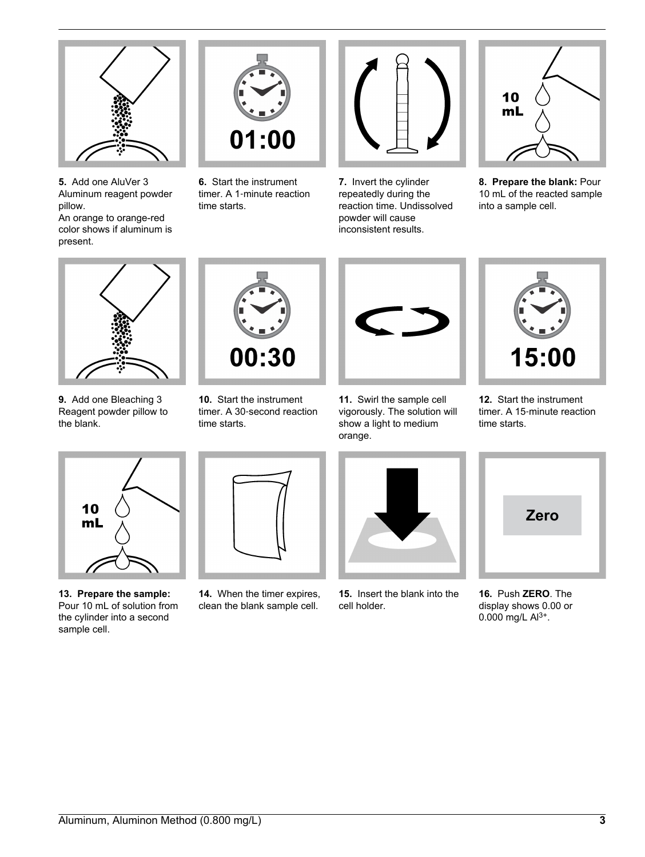

**5.** Add one AluVer 3 Aluminum reagent powder pillow. An orange to orange-red color shows if aluminum is present.



**6.** Start the instrument timer. A 1‑minute reaction time starts.



**7.** Invert the cylinder repeatedly during the reaction time. Undissolved powder will cause inconsistent results.



**8. Prepare the blank:** Pour 10 mL of the reacted sample into a sample cell.



**9.** Add one Bleaching 3 Reagent powder pillow to the blank.



**10.** Start the instrument timer. A 30‑second reaction time starts.



**11.** Swirl the sample cell vigorously. The solution will show a light to medium orange.



**12.** Start the instrument timer. A 15‑minute reaction time starts.



**13. Prepare the sample:** Pour 10 mL of solution from the cylinder into a second sample cell.



**14.** When the timer expires, clean the blank sample cell.



**15.** Insert the blank into the cell holder.



**16.** Push **ZERO**. The display shows 0.00 or 0.000 mg/L  $Al^{3+}$ .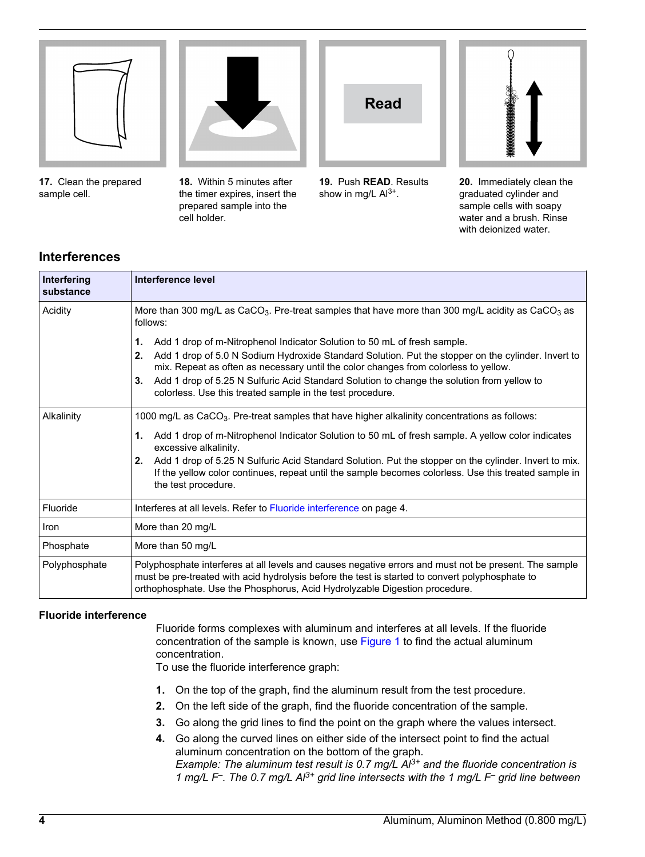

**17.** Clean the prepared sample cell.



**18.** Within 5 minutes after the timer expires, insert the prepared sample into the cell holder.



**19.** Push **READ**. Results show in mg/L  $Al^{3+}$ .



**20.** Immediately clean the graduated cylinder and sample cells with soapy water and a brush. Rinse with deionized water.

# **Interferences**

| Interfering<br>substance | Interference level                                                                                                                                                                                                                                                                                                                                                                                                                                                                          |
|--------------------------|---------------------------------------------------------------------------------------------------------------------------------------------------------------------------------------------------------------------------------------------------------------------------------------------------------------------------------------------------------------------------------------------------------------------------------------------------------------------------------------------|
| Acidity                  | More than 300 mg/L as CaCO <sub>3</sub> . Pre-treat samples that have more than 300 mg/L acidity as CaCO <sub>3</sub> as<br>follows:                                                                                                                                                                                                                                                                                                                                                        |
|                          | Add 1 drop of m-Nitrophenol Indicator Solution to 50 mL of fresh sample.<br>1.<br>Add 1 drop of 5.0 N Sodium Hydroxide Standard Solution. Put the stopper on the cylinder. Invert to<br>2.<br>mix. Repeat as often as necessary until the color changes from colorless to yellow.<br>Add 1 drop of 5.25 N Sulfuric Acid Standard Solution to change the solution from yellow to<br>3.<br>colorless. Use this treated sample in the test procedure.                                          |
| Alkalinity               | 1000 mg/L as CaCO <sub>3</sub> . Pre-treat samples that have higher alkalinity concentrations as follows:<br>Add 1 drop of m-Nitrophenol Indicator Solution to 50 mL of fresh sample. A yellow color indicates<br>1.<br>excessive alkalinity.<br>Add 1 drop of 5.25 N Sulfuric Acid Standard Solution. Put the stopper on the cylinder. Invert to mix.<br>2.<br>If the yellow color continues, repeat until the sample becomes colorless. Use this treated sample in<br>the test procedure. |
| Fluoride                 | Interferes at all levels. Refer to Fluoride interference on page 4.                                                                                                                                                                                                                                                                                                                                                                                                                         |
| Iron                     | More than 20 mg/L                                                                                                                                                                                                                                                                                                                                                                                                                                                                           |
| Phosphate                | More than 50 mg/L                                                                                                                                                                                                                                                                                                                                                                                                                                                                           |
| Polyphosphate            | Polyphosphate interferes at all levels and causes negative errors and must not be present. The sample<br>must be pre-treated with acid hydrolysis before the test is started to convert polyphosphate to<br>orthophosphate. Use the Phosphorus, Acid Hydrolyzable Digestion procedure.                                                                                                                                                                                                      |

#### **Fluoride interference**

Fluoride forms complexes with aluminum and interferes at all levels. If the fluoride concentration of the sample is known, use [Figure 1](#page-4-0) to find the actual aluminum concentration.

To use the fluoride interference graph:

- **1.** On the top of the graph, find the aluminum result from the test procedure.
- **2.** On the left side of the graph, find the fluoride concentration of the sample.
- **3.** Go along the grid lines to find the point on the graph where the values intersect.
- **4.** Go along the curved lines on either side of the intersect point to find the actual aluminum concentration on the bottom of the graph. *Example: The aluminum test result is 0.7 mg/L Al3+ and the fluoride concentration is 1 mg/L F– . The 0.7 mg/L Al3+ grid line intersects with the 1 mg/L F– grid line between*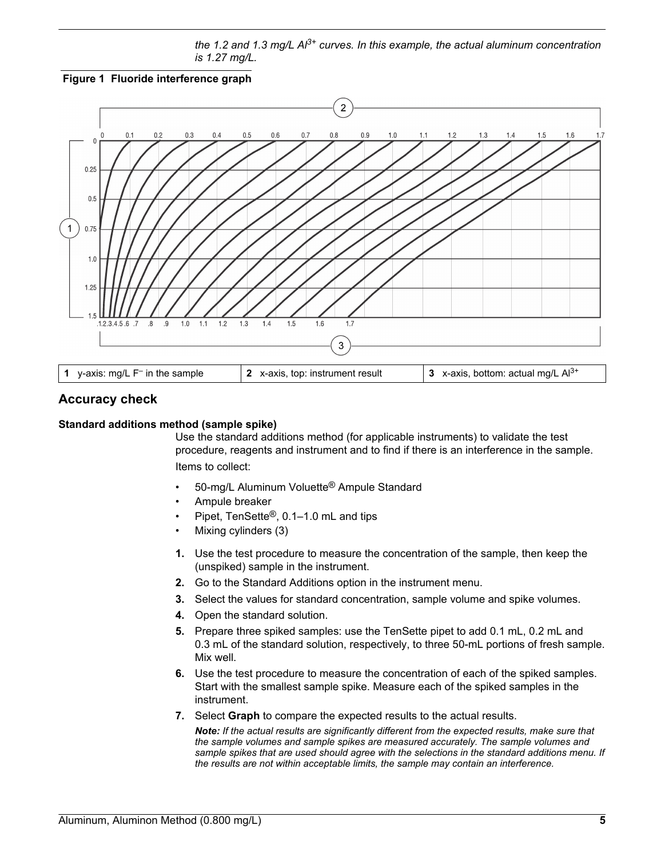*the 1.2 and 1.3 mg/L Al3+ curves. In this example, the actual aluminum concentration is 1.27 mg/L.*

<span id="page-4-0"></span>



# **Accuracy check**

#### **Standard additions method (sample spike)**

Use the standard additions method (for applicable instruments) to validate the test procedure, reagents and instrument and to find if there is an interference in the sample. Items to collect:

- 50-mg/L Aluminum Voluette® Ampule Standard
- Ampule breaker
- Pipet, TenSette®, 0.1–1.0 mL and tips
- Mixing cylinders (3)
- **1.** Use the test procedure to measure the concentration of the sample, then keep the (unspiked) sample in the instrument.
- **2.** Go to the Standard Additions option in the instrument menu.
- **3.** Select the values for standard concentration, sample volume and spike volumes.
- **4.** Open the standard solution.
- **5.** Prepare three spiked samples: use the TenSette pipet to add 0.1 mL, 0.2 mL and 0.3 mL of the standard solution, respectively, to three 50-mL portions of fresh sample. Mix well.
- **6.** Use the test procedure to measure the concentration of each of the spiked samples. Start with the smallest sample spike. Measure each of the spiked samples in the instrument.
- **7.** Select **Graph** to compare the expected results to the actual results.

*Note: If the actual results are significantly different from the expected results, make sure that the sample volumes and sample spikes are measured accurately. The sample volumes and sample spikes that are used should agree with the selections in the standard additions menu. If the results are not within acceptable limits, the sample may contain an interference.*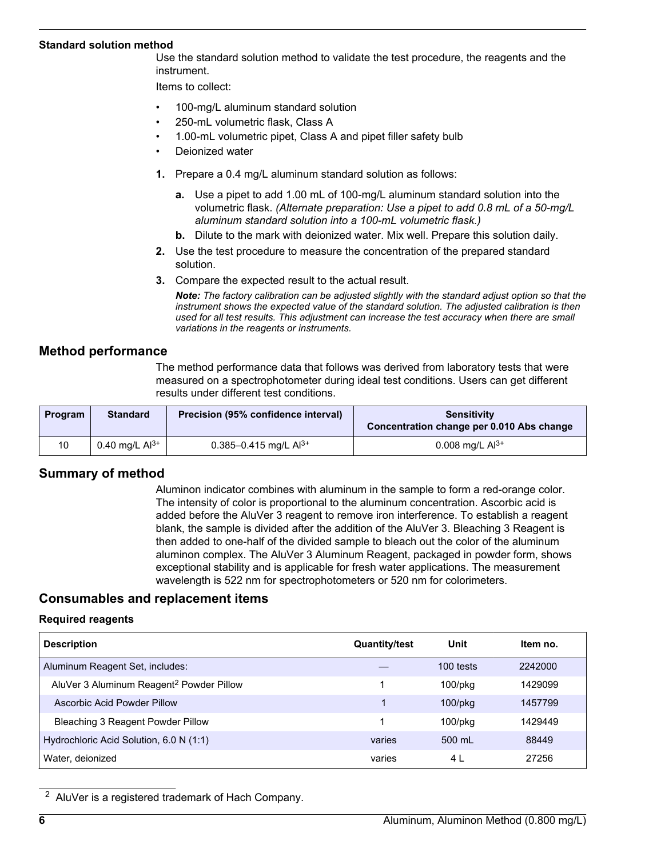#### <span id="page-5-0"></span>**Standard solution method**

Use the standard solution method to validate the test procedure, the reagents and the instrument.

Items to collect:

- 100-mg/L aluminum standard solution
- 250-mL volumetric flask, Class A
- 1.00-mL volumetric pipet, Class A and pipet filler safety bulb
- Deionized water
- **1.** Prepare a 0.4 mg/L aluminum standard solution as follows:
	- **a.** Use a pipet to add 1.00 mL of 100-mg/L aluminum standard solution into the volumetric flask. *(Alternate preparation: Use a pipet to add 0.8 mL of a 50-mg/L aluminum standard solution into a 100-mL volumetric flask.)*
	- **b.** Dilute to the mark with deionized water. Mix well. Prepare this solution daily.
- **2.** Use the test procedure to measure the concentration of the prepared standard solution.
- **3.** Compare the expected result to the actual result.

*Note: The factory calibration can be adjusted slightly with the standard adjust option so that the instrument shows the expected value of the standard solution. The adjusted calibration is then used for all test results. This adjustment can increase the test accuracy when there are small variations in the reagents or instruments.*

# **Method performance**

The method performance data that follows was derived from laboratory tests that were measured on a spectrophotometer during ideal test conditions. Users can get different results under different test conditions.

| Program | <b>Standard</b>     | Precision (95% confidence interval) | <b>Sensitivity</b><br>Concentration change per 0.010 Abs change |
|---------|---------------------|-------------------------------------|-----------------------------------------------------------------|
| 10      | 0.40 mg/L $Al^{3+}$ | 0.385-0.415 mg/L $Al^{3+}$          | 0.008 mg/L $Al^{3+}$                                            |

## **Summary of method**

Aluminon indicator combines with aluminum in the sample to form a red-orange color. The intensity of color is proportional to the aluminum concentration. Ascorbic acid is added before the AluVer 3 reagent to remove iron interference. To establish a reagent blank, the sample is divided after the addition of the AluVer 3. Bleaching 3 Reagent is then added to one-half of the divided sample to bleach out the color of the aluminum aluminon complex. The AluVer 3 Aluminum Reagent, packaged in powder form, shows exceptional stability and is applicable for fresh water applications. The measurement wavelength is 522 nm for spectrophotometers or 520 nm for colorimeters.

## **Consumables and replacement items**

#### **Required reagents**

| <b>Description</b>                                   | <b>Quantity/test</b> | Unit          | Item no. |
|------------------------------------------------------|----------------------|---------------|----------|
| Aluminum Reagent Set, includes:                      |                      | 100 tests     | 2242000  |
| AluVer 3 Aluminum Reagent <sup>2</sup> Powder Pillow |                      | $100$ /p $kg$ | 1429099  |
| Ascorbic Acid Powder Pillow                          |                      | $100$ /p $kg$ | 1457799  |
| Bleaching 3 Reagent Powder Pillow                    |                      | $100$ /p $ka$ | 1429449  |
| Hydrochloric Acid Solution, 6.0 N (1:1)              | varies               | 500 mL        | 88449    |
| Water, deionized                                     | varies               | 4 L           | 27256    |

<sup>2</sup> AluVer is a registered trademark of Hach Company.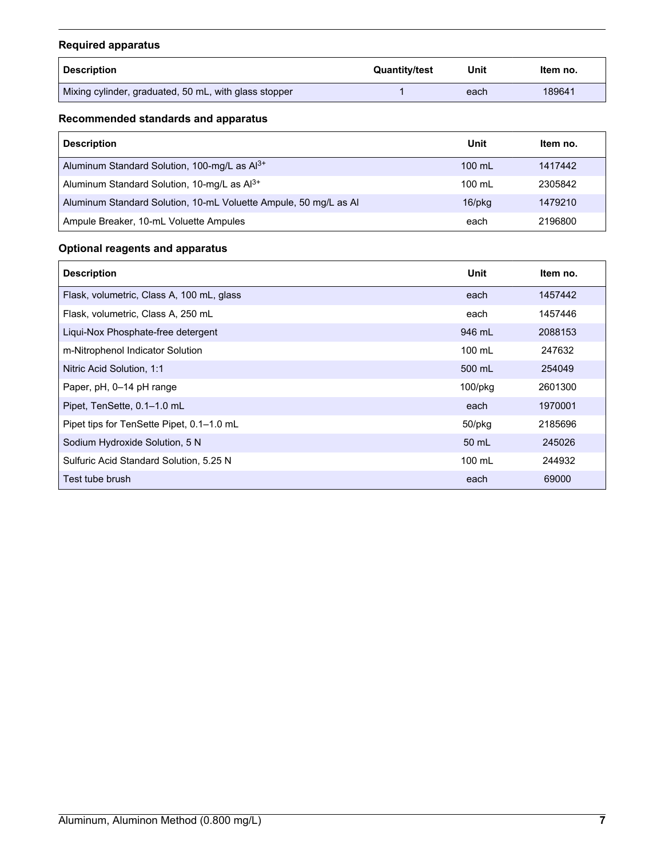# **Required apparatus**

| <b>Description</b>                                    | <b>Quantity/test</b> | Unit | Item no. |
|-------------------------------------------------------|----------------------|------|----------|
| Mixing cylinder, graduated, 50 mL, with glass stopper |                      | each | 189641   |

# **Recommended standards and apparatus**

| <b>Description</b>                                               | Unit             | Item no. |
|------------------------------------------------------------------|------------------|----------|
| Aluminum Standard Solution, 100-mg/L as Al <sup>3+</sup>         | $100$ mL         | 1417442  |
| Aluminum Standard Solution, 10-mg/L as Al <sup>3+</sup>          | $100 \mathrm{m}$ | 2305842  |
| Aluminum Standard Solution, 10-mL Voluette Ampule, 50 mg/L as Al | $16$ /p $kg$     | 1479210  |
| Ampule Breaker, 10-mL Voluette Ampules                           | each             | 2196800  |

# **Optional reagents and apparatus**

| <b>Description</b>                        | Unit       | Item no. |
|-------------------------------------------|------------|----------|
| Flask, volumetric, Class A, 100 mL, glass | each       | 1457442  |
| Flask, volumetric, Class A, 250 mL        | each       | 1457446  |
| Liqui-Nox Phosphate-free detergent        | 946 mL     | 2088153  |
| m-Nitrophenol Indicator Solution          | 100 mL     | 247632   |
| Nitric Acid Solution, 1:1                 | 500 mL     | 254049   |
| Paper, pH, 0–14 pH range                  | $100$ /pkg | 2601300  |
| Pipet, TenSette, 0.1-1.0 mL               | each       | 1970001  |
| Pipet tips for TenSette Pipet, 0.1-1.0 mL | 50/pkg     | 2185696  |
| Sodium Hydroxide Solution, 5 N            | 50 mL      | 245026   |
| Sulfuric Acid Standard Solution, 5.25 N   | 100 mL     | 244932   |
| Test tube brush                           | each       | 69000    |